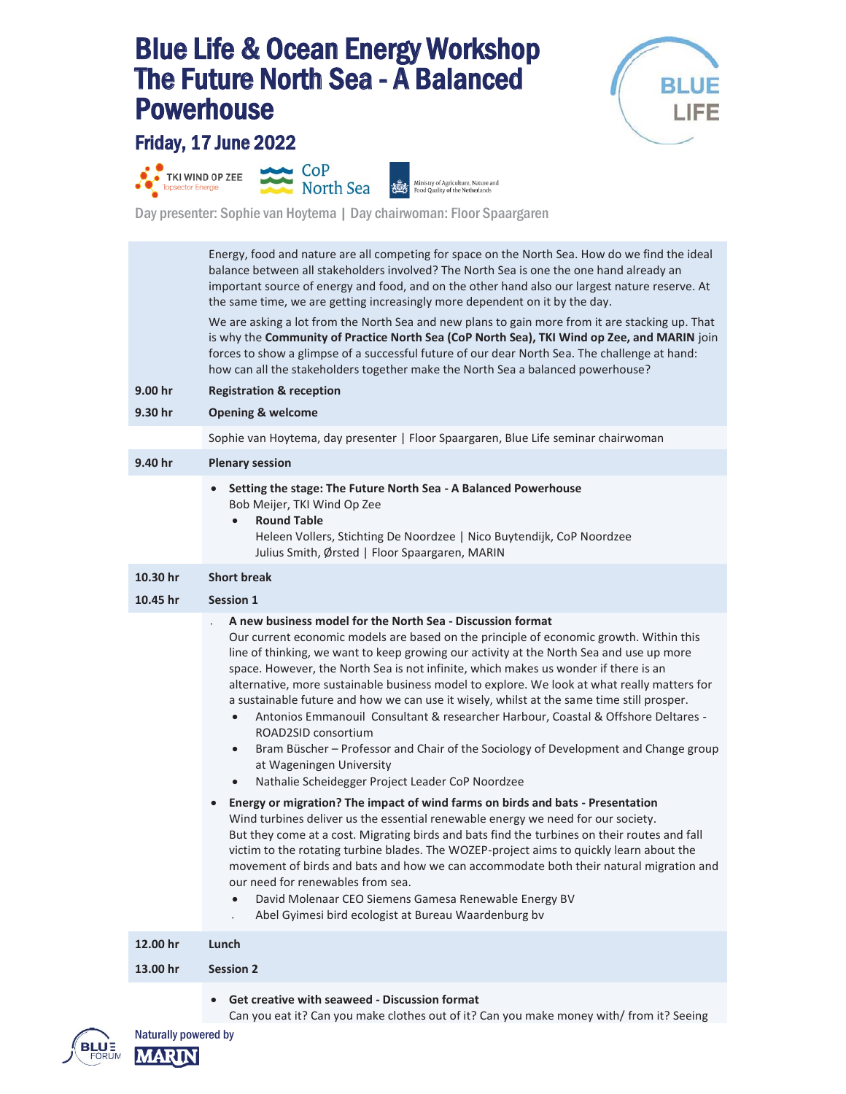## Blue Life & Ocean Energy Workshop The Future North Sea - A Balanced **Powerhouse**<br>Friday, 17 June 2022



TKI WIND OP ZEE



Ministry of Agriculture, Nature and<br>Food Quality of the Netherlands

Day presenter: Sophie van Hoytema | Day chairwoman: Floor Spaargaren

Energy, food and nature are all competing for space on the North Sea. How do we find the ideal balance between all stakeholders involved? The North Sea is one the one hand already an important source of energy and food, and on the other hand also our largest nature reserve. At the same time, we are getting increasingly more dependent on it by the day. We are asking a lot from the North Sea and new plans to gain more from it are stacking up. That is why the **Community of Practice North Sea (CoP North Sea), TKI Wind op Zee, and MARIN** join forces to show a glimpse of a successful future of our dear North Sea. The challenge at hand: how can all the stakeholders together make the North Sea a balanced powerhouse? **9.00 hr Registration & reception 9.30 hr Opening & welcome** Sophie van Hoytema, day presenter | Floor Spaargaren, Blue Life seminar chairwoman **9.40 hr Plenary session • Setting the stage: The Future North Sea - A Balanced Powerhouse** Bob Meijer, TKI Wind Op Zee x **Round Table** Heleen Vollers, Stichting De Noordzee | Nico Buytendijk, CoP Noordzee Julius Smith, Ørsted | Floor Spaargaren, MARIN **10.30 hr Short break 10.45 hr Session 1** <sup>x</sup> **A new business model for the North Sea - Discussion format** Our current economic models are based on the principle of economic growth. Within this line of thinking, we want to keep growing our activity at the North Sea and use up more space. However, the North Sea is not infinite, which makes us wonder if there is an alternative, more sustainable business model to explore. We look at what really matters for a sustainable future and how we can use it wisely, whilst at the same time still prosper. x Antonios Emmanouil Consultant & researcher Harbour, Coastal & Offshore Deltares - ROAD2SID consortium Bram Büscher – Professor and Chair of the Sociology of Development and Change group at Wageningen University x Nathalie Scheidegger Project Leader CoP Noordzee x **Energy or migration? The impact of wind farms on birds and bats - Presentation** Wind turbines deliver us the essential renewable energy we need for our society. But they come at a cost. Migrating birds and bats find the turbines on their routes and fall victim to the rotating turbine blades. The WOZEP-project aims to quickly learn about the movement of birds and bats and how we can accommodate both their natural migration and our need for renewables from sea. David Molenaar CEO Siemens Gamesa Renewable Energy BV Abel Gyimesi bird ecologist at Bureau Waardenburg bv

| 12.00 hr | Lunch                                           |
|----------|-------------------------------------------------|
| 13.00 hr | <b>Session 2</b>                                |
|          | • Get creative with seaweed - Discussion format |